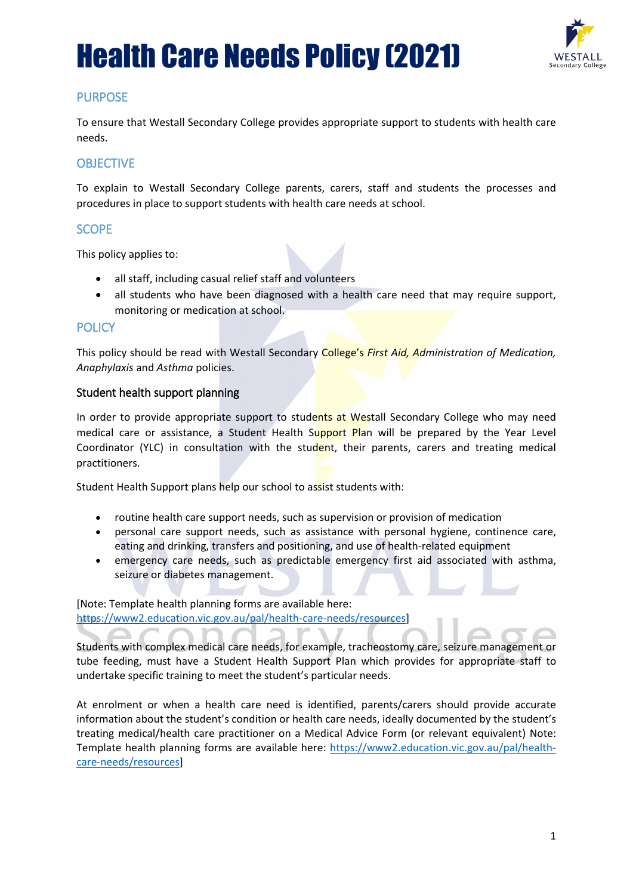## Health Care Needs Policy (2021)



## PURPOSE

To ensure that Westall Secondary College provides appropriate support to students with health care needs.

## **OBJECTIVE**

To explain to Westall Secondary College parents, carers, staff and students the processes and procedures in place to support students with health care needs at school.

### **SCOPE**

This policy applies to:

- all staff, including casual relief staff and volunteers
- all students who have been diagnosed with a health care need that may require support, monitoring or medication at school.

### **POLICY**

This policy should be read with Westall Secondary College's *First Aid, Administration of Medication, Anaphylaxis* and *Asthma* policies.

### Student health support planning

In order to provide appropriate support to students at Westall Secondary College who may need medical care or assistance, a Student Health Support Plan will be prepared by the Year Level Coordinator (YLC) in consultation with the student, their parents, carers and treating medical practitioners.

Student Health Support plans help our school to assist students with:

- routine health care support needs, such as supervision or provision of medication
- personal care support needs, such as assistance with personal hygiene, continence care, eating and drinking, transfers and positioning, and use of health-related equipment
- emergency care needs, such as predictable emergency first aid associated with asthma, seizure or diabetes management.

[Note: Template health planning forms are available here: [https://www2.education.vic.gov.au/pal/health-care-needs/resources\]](https://www2.education.vic.gov.au/pal/health-care-needs/resources)

Students with complex medical care needs, for example, tracheostomy care, seizure management or tube feeding, must have a Student Health Support Plan which provides for appropriate staff to undertake specific training to meet the student's particular needs.

At enrolment or when a health care need is identified, parents/carers should provide accurate information about the student's condition or health care needs, ideally documented by the student's treating medical/health care practitioner on a Medical Advice Form (or relevant equivalent) Note: Template health planning forms are available here: [https://www2.education.vic.gov.au/pal/health](https://www2.education.vic.gov.au/pal/health-care-needs/resources)[care-needs/resources\]](https://www2.education.vic.gov.au/pal/health-care-needs/resources)